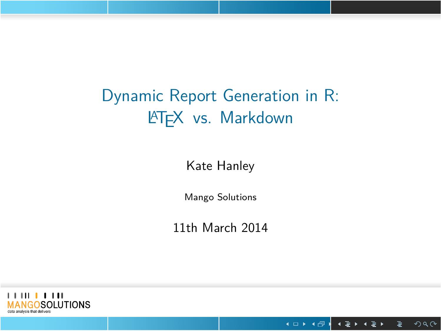# Dynamic Report Generation in R: LATEX vs. Markdown

Kate Hanley

Mango Solutions

11th March 2014



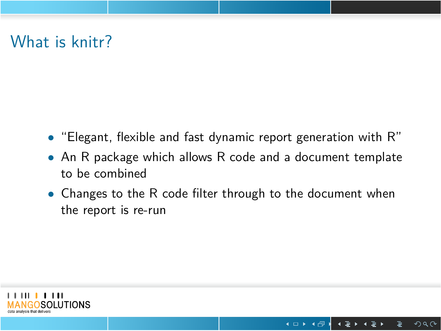# What is knitr?

- *•* "Elegant, flexible and fast dynamic report generation with R"
- *•* An R package which allows R code and a document template to be combined
- *•* Changes to the R code filter through to the document when the report is re-run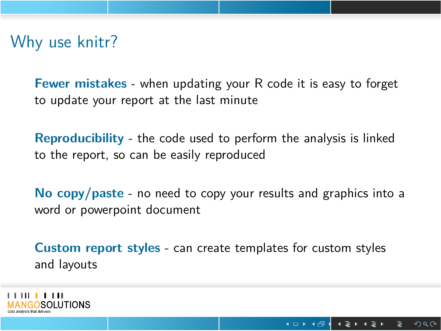## Why use knitr?

**Fewer mistakes** - when updating your R code it is easy to forget to update your report at the last minute

**Reproducibility** - the code used to perform the analysis is linked to the report, so can be easily reproduced

**No copy/paste** - no need to copy your results and graphics into a word or powerpoint document

**Custom report styles** - can create templates for custom styles and layouts

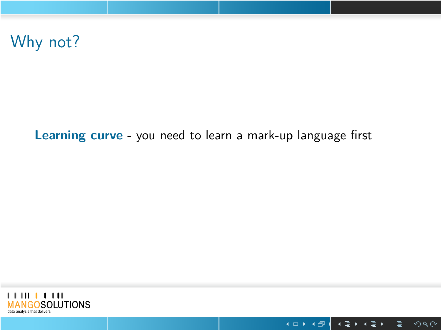Why not?

**Learning curve** - you need to learn a mark-up language first



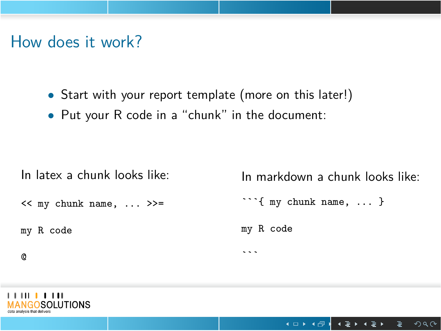## How does it work?

- *•* Start with your report template (more on this later!)
- *•* Put your R code in a "chunk" in the document:

| In latex a chunk looks like: | In markdown a chunk looks like: |
|------------------------------|---------------------------------|
| $<<$ my chunk name,  >>=     | $\cdots$ { my chunk name,  }    |
| my R code                    | my R code                       |
| Q                            | .                               |
|                              |                                 |

**THEFFITH**<br>MANGOSOLUTIONS

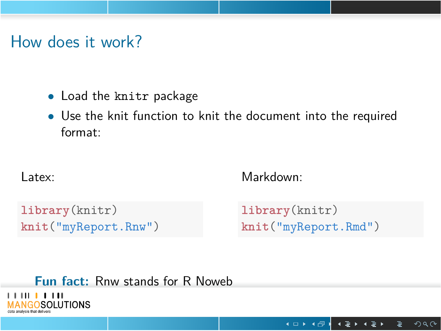### How does it work?

- *•* Load the knitr package
- *•* Use the knit function to knit the document into the required format:

#### Latex:

Markdown:

**library**(knitr) **knit**("myReport.Rnw") **library**(knitr) **knit**("myReport.Rmd")

. . . . . . . . . . . . . . . . . . . . . . . . . . . . . . . . . . . . . . . . . . . . . . . . . . . . . . . . . . .

**Fun fact:** Rnw stands for R Noweb<br>
MANGOSOLUTIONS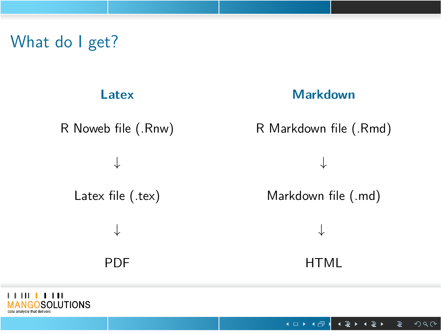# What do I get?



**Markdown**

R Noweb file (.Rnw)

*↓*

Latex file (.tex)

*↓*

PDF

R Markdown file (.Rmd)

*↓*

Markdown file (.md)

*↓*

HTML



. . . . . . . . . . . . . . . . . . . . . . . . . . . . . . . . . . . . . . . . . . . . . . . . . . . . . . . . . . .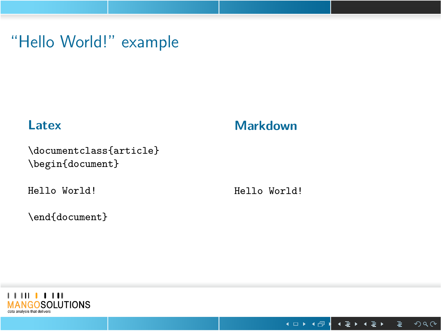# "Hello World!" example

### **Latex**

**Markdown**

\documentclass{article} \begin{document}

Hello World!

Hello World!

\end{document}



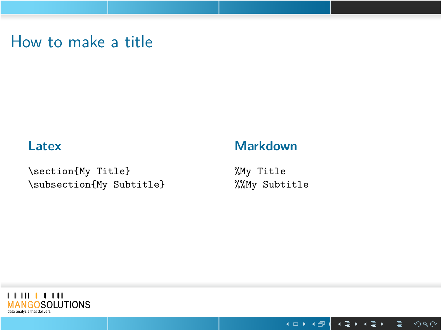## How to make a title

### **Latex**

**Markdown**

\section{My Title} \subsection{My Subtitle}

%My Title %%My Subtitle



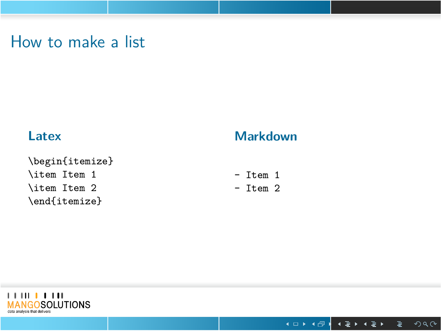## How to make a list

#### **Latex**

\begin{itemize} \item Item 1 \item Item 2 \end{itemize}

#### **Markdown**

- Item 1

- Item 2



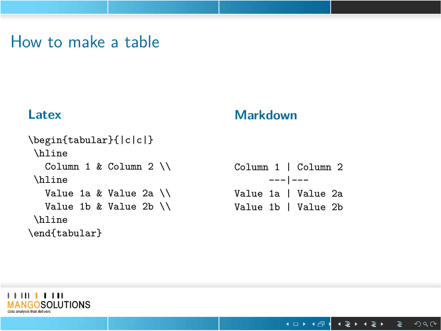## How to make a table

### **Latex**

#### **Markdown**

| \begin{tabular}{ c c }           |                     |
|----------------------------------|---------------------|
| \hline                           |                     |
| Column 1 & Column 2 $\backslash$ | Column 1   Column 2 |
| <b>\hline</b>                    | $--- 1---$          |
| Value 1a & Value 2a $\setminus$  | Value 1a   Value 2a |
| Value 1b & Value 2b $\setminus$  | Value 1b   Value 2b |
| \hline                           |                     |
| \end{tabular}                    |                     |



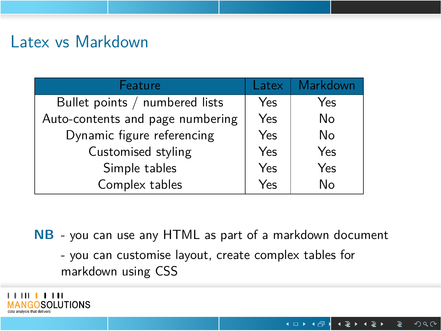## Latex vs Markdown

| <b>Feature</b>                   | Latex | Markdown |
|----------------------------------|-------|----------|
| Bullet points / numbered lists   | Yes   | Yes      |
| Auto-contents and page numbering | Yes   | No       |
| Dynamic figure referencing       | Yes   | No       |
| Customised styling               | Yes   | Yes      |
| Simple tables                    | Yes   | Yes      |
| Complex tables                   | Yes   | No       |

- **NB** you can use any HTML as part of a markdown document
	- you can customise layout, create complex tables for markdown using CSS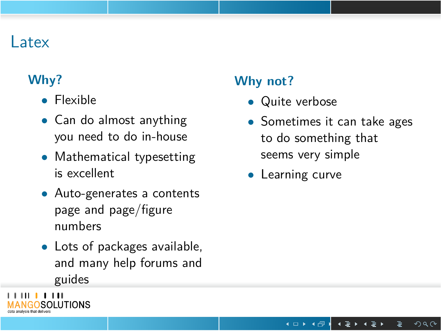### Latex

#### **Why?**

**THILL LITT**<br>MANGOSOLUTIONS

- *•* Flexible
- *•* Can do almost anything you need to do in-house
- *•* Mathematical typesetting is excellent
- *•* Auto-generates a contents page and page/figure numbers
- *•* Lots of packages available, and many help forums and guides

### **Why not?**

- *•* Quite verbose
- *•* Sometimes it can take ages to do something that seems very simple
- *•* Learning curve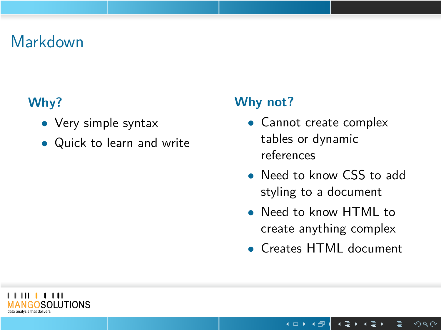## Markdown

### **Why?**

- *•* Very simple syntax
- *•* Quick to learn and write

### **Why not?**

- *•* Cannot create complex tables or dynamic references
- *•* Need to know CSS to add styling to a document
- *•* Need to know HTML to create anything complex
- *•* Creates HTML document

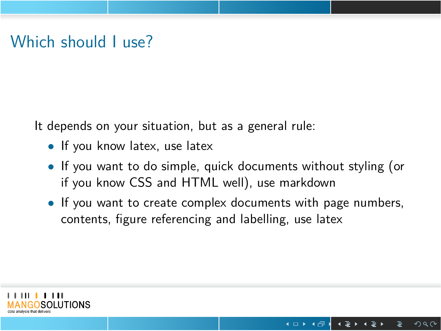### Which should I use?

It depends on your situation, but as a general rule:

- *•* If you know latex, use latex
- *•* If you want to do simple, quick documents without styling (or if you know CSS and HTML well), use markdown
- *•* If you want to create complex documents with page numbers, contents, figure referencing and labelling, use latex

. . . . . . . . . . . . . . . . . . . . . . . . . . . . . . . . . . . . . . . . . . . . . . . . . . . . . . . . . .